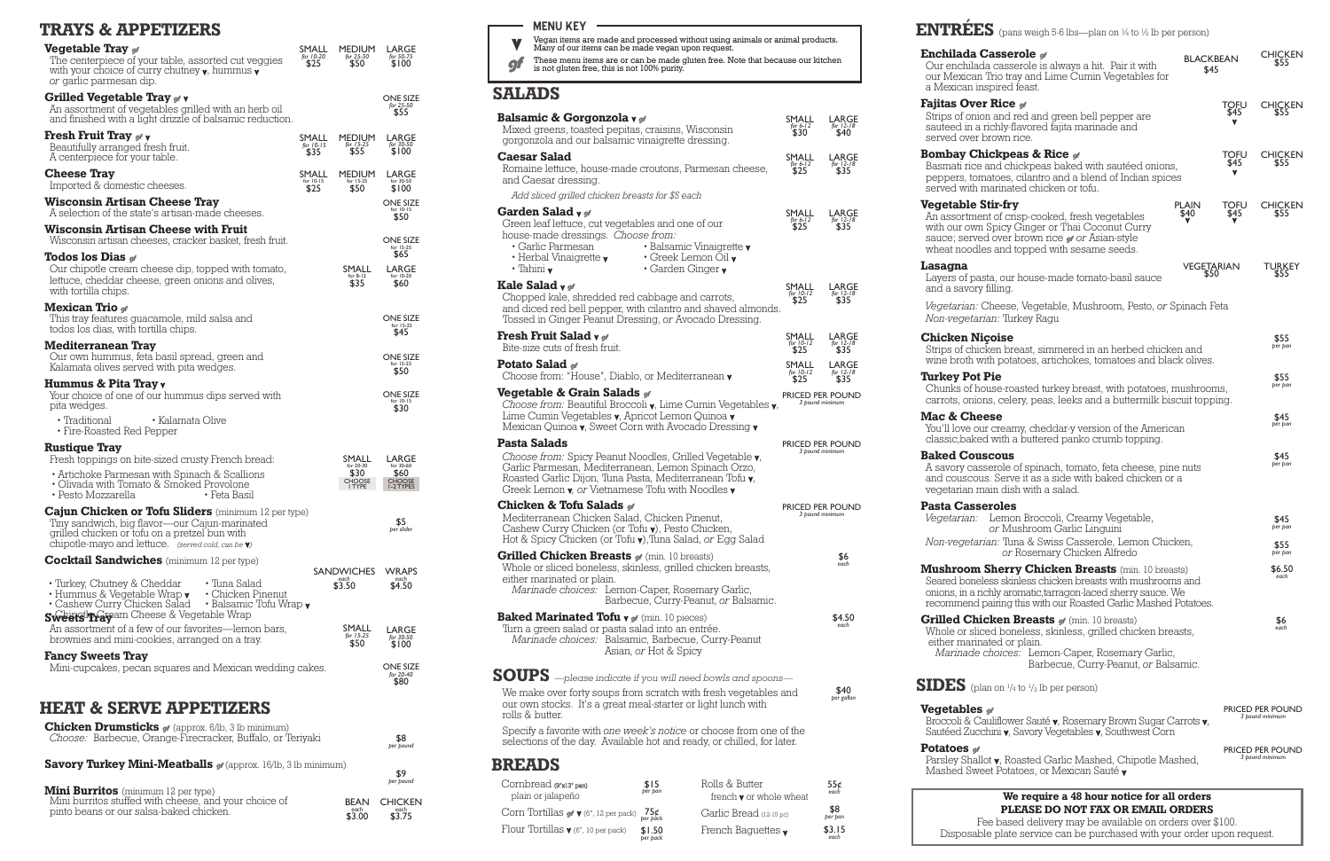## **TRAYS & APPETIZERS**

| <b>Vegetable Tray</b> of<br>The centerpiece of your table, assorted cut veggies<br>with your choice of curry chutney $\mathbf v$ , hummus $\mathbf v$<br><i>or</i> garlic parmesan dip.                                        | SMALL<br>for 10-20<br>\$25 | <b>MEDIUM</b><br>for 25-50<br>\$50   | LARGE<br>for 50-75<br>\$100          |
|--------------------------------------------------------------------------------------------------------------------------------------------------------------------------------------------------------------------------------|----------------------------|--------------------------------------|--------------------------------------|
| Grilled Vegetable Tray of <b>v</b><br>An assortment of vegetables grilled with an herb oil<br>and finished with a light drizzle of balsamic reduction.                                                                         |                            |                                      | <b>ONE SIZE</b><br>for 25-50<br>\$55 |
| <b>Fresh Fruit Tray of v</b><br>Beautifully arranged fresh fruit.<br>A centerpiece for your table.                                                                                                                             | SMALL<br>for 10-15<br>\$35 | <b>MEDIUM</b><br>for 15-25<br>\$55   | LARGE<br>for 30-50<br>\$100          |
| <b>Cheese Tray</b><br>Imported & domestic cheeses.                                                                                                                                                                             | SMALL<br>for 10-15<br>\$25 | <b>MEDIUM</b><br>for $15-25$<br>\$50 | LARGE<br>for 30-50<br>\$100          |
| <b>Wisconsin Artisan Cheese Tray</b><br>A selection of the state's artisan-made cheeses.                                                                                                                                       |                            |                                      | <b>ONE SIZE</b><br>for 10-15<br>\$50 |
| <b>Wisconsin Artisan Cheese with Fruit</b><br>Wisconsin artisan cheeses, cracker basket, fresh fruit.                                                                                                                          |                            |                                      | <b>ONE SIZE</b><br>for 15-25         |
| Todos los Dias $g$<br>Our chipotle cream cheese dip, topped with tomato,<br>lettuce, cheddar cheese, green onions and olives,<br>with tortilla chips.                                                                          |                            | SMALL<br>for $8-12$<br>\$35          | \$65<br>LARGE<br>for 10-20<br>\$60   |
| <b>Mexican Trio</b> of<br>This tray features guacamole, mild salsa and<br>todos los dias, with tortilla chips.                                                                                                                 |                            |                                      | <b>ONE SIZE</b><br>for 15-25<br>\$45 |
| <b>Mediterranean Tray</b><br>Our own hummus, feta basil spread, green and<br>Kalamata olives served with pita wedges.                                                                                                          |                            |                                      | <b>ONE SIZE</b><br>for 15-25<br>\$50 |
| Hummus & Pita Tray v<br>Your choice of one of our hummus dips served with<br>pita wedges.                                                                                                                                      |                            |                                      | <b>ONE SIZE</b><br>for 10-15<br>\$30 |
| • Kalamata Olive<br>• Traditional<br>• Fire-Roasted Red Pepper                                                                                                                                                                 |                            |                                      |                                      |
| <b>Rustique Tray</b><br>Fresh toppings on bite-sized crusty French bread:                                                                                                                                                      |                            | SMALL<br>for 20-30                   | LARGE<br>for 30-60                   |
| • Artichoke Parmesan with Spinach & Scallions<br>• Olivada with Tomato & Smoked Provolone<br>• Pesto Mozzarella<br>• Feta Basil                                                                                                |                            | \$30<br>CHOOSE<br>I TYPE             | \$60<br>CHOOSE<br>1-2 TYPES          |
| <b>Cajun Chicken or Tofu Sliders</b> (minimum 12 per type)<br>Tiny sandwich, big flavor-our Cajun-marinated<br>grilled chicken or tofu on a pretzel bun with<br>chipotle-mayo and lettuce. (served cold, can be $\mathbf{v}$ ) |                            |                                      | \$5<br>per slider                    |
| <b>Cocktail Sandwiches</b> (minimum 12 per type)                                                                                                                                                                               |                            | <b>SANDWICHES</b>                    | <b>WRAPS</b>                         |
| • Turkey, Chutney & Cheddar<br>• Tuna Salad<br>• Hummus & Vegetable Wrap $\bm{\mathsf{v}}$<br>• Chicken Pinenut<br>• Cashew Curry Chicken Salad • Balsamic Tofu Wrap v<br>Sweets <sup>tl</sup> inavam Cheese & Vegetable Wrap  |                            | each<br>\$3.50                       | each<br>\$4.50                       |
| An assortment of a few of our favorites—lemon bars,<br>brownies and mini-cookies, arranged on a tray.                                                                                                                          |                            | SMALL<br>for $15-25$<br>\$50         | LARGE<br>for 30-50<br>\$100          |
| <b>Fancy Sweets Tray</b><br>Mini-cupcakes, pecan squares and Mexican wedding cakes.                                                                                                                                            |                            |                                      | <b>ONE SIZE</b><br>for 20-40<br>\$80 |
| <b>HEAT &amp; SERVE APPETIZERS</b>                                                                                                                                                                                             |                            |                                      |                                      |
| <b>Chicken Drumsticks of (approx. 6/lb, 3 lb minimum)</b><br>Choose: Barbecue, Orange-Firecracker, Buffalo, or Teriyaki                                                                                                        |                            |                                      | \$8<br>per pound                     |
| Savory Turkey Mini-Meatballs of (approx. 16/lb, 3 lb minimum)                                                                                                                                                                  |                            |                                      | \$9                                  |
| $Mini$ Purritor $(mimum 12por)$                                                                                                                                                                                                |                            |                                      | per pound                            |

- Vegan items are made and processed without using animals or animal products. Many of our items can be made vegan upon request. V
- These menu items are or can be made gluten free. Note that because our kitchen is not gluten free, this is not 100% purity. gf

## **MENU KEY**

**We require a 48 hour notice for all orders PLEASE DO NOT FAX OR EMAIL ORDERS**

Fee based delivery may be available on orders over \$100. Disposable plate service can be purchased with your order upon request.

| <b>Mini Burritos</b> (minimum 12 per type)                                                       |                |                                       |
|--------------------------------------------------------------------------------------------------|----------------|---------------------------------------|
| Mini burritos stuffed with cheese, and your choice of<br>pinto beans or our salsa-baked chicken. | each<br>\$3.00 | <b>BEAN CHICKEN</b><br>each<br>\$3.75 |

**Potatoes** gf Parsley Shal Mashed Sw



#### **Lasagna**

Layers of pa and a savor

*Vegetarian: Non-vegetai* 

### **Chicken N** Strips of chi wine broth

**Turkey Pot** Chunks of h carrots, onio

**Mac & Che** You'll love o classic,bake

#### **Baked Cou** A savory cas and cousco vegetarian i

**Pasta Cass** *Vegetarian:* 

*Non-vegeta.* 

#### **Mushroom** Seared bone onions, in a recommend

**Grilled Chi** Whole or sli either mari *Marinade* 

## **SIDES** (p

**Vegetables** Broccoli & C Sautéed Zuc

\$1.50 *per pack*

## **ENTRÉES** (pans weigh 5-6 lbs—plan on ¼ to ½ lb per person)

## **Enchilada**

Our enchila our Mexican a Mexican i

## **Fajitas Ove**

Strips of oni sauteed in a served over

#### **Bombay Cl**

Basmati rice peppers, to served with

## **Vegetable**

An assortme with our own sauce; serve wheat noodl

\$3.15 *each*

## **SALADS**

| <b>THE LEADER</b> (pairs weigh $\sigma$ - $\sigma$ ips—pian on 74 to 72 ip per person)                                                                                                                                                                      |                          |                          |                                            |
|-------------------------------------------------------------------------------------------------------------------------------------------------------------------------------------------------------------------------------------------------------------|--------------------------|--------------------------|--------------------------------------------|
| Our enchilada casserole is always a hit. Pair it with<br>our Mexican Trio tray and Lime Cumin Vegetables for<br>a Mexican inspired feast.                                                                                                                   | <b>BLACKBEAN</b><br>\$45 |                          | <b>CHICKEN</b><br>\$55                     |
| <b>'ajitas Over Rice 91</b><br>Strips of onion and red and green bell pepper are<br>sauteed in a richly-flavored fajita marinade and<br>served over brown rice.                                                                                             |                          | TOFU<br>\$45             | <b>CHICKEN</b><br>\$55                     |
| <b>Sombay Chickpeas &amp; Rice</b> of<br>Basmati rice and chickpeas baked with sautéed onions,<br>peppers, tomatoes, cilantro and a blend of Indian spices<br>served with marinated chicken or tofu.                                                        |                          | <b>TOFU</b><br>\$45<br>v | <b>CHICKEN</b><br>\$55                     |
| <b>Jegetable Stir-fry</b><br>An assortment of crisp-cooked, fresh vegetables<br>with our own Spicy Ginger or Thai Coconut Curry<br>sauce; served over brown rice or or Asian-style<br>wheat noodles and topped with sesame seeds.                           | <b>PLAIN</b><br>\$40.    | TOFU<br>\$45             | <b>CHICKEN</b><br>\$55                     |
| asagna<br>Layers of pasta, our house-made tomato-basil sauce<br>and a savory filling.                                                                                                                                                                       | VEGETARIAN<br>\$50       |                          | <b>TURKEY</b><br>\$55                      |
| Vegetarian: Cheese, Vegetable, Mushroom, Pesto, or Spinach Feta<br><i>Non-vegetarian:</i> Turkey Ragu                                                                                                                                                       |                          |                          |                                            |
| Chicken Niçoise<br>Strips of chicken breast, simmered in an herbed chicken and<br>wine broth with potatoes, artichokes, tomatoes and black olives.                                                                                                          |                          |                          | \$55<br>per pan                            |
| urkey Pot Pie.<br>Chunks of house-roasted turkey breast, with potatoes, mushrooms,<br>carrots, onions, celery, peas, leeks and a buttermilk biscuit topping.                                                                                                |                          |                          | \$55<br>per pan                            |
| <b>Aac &amp; Cheese</b><br>You'll love our creamy, cheddar-y version of the American<br>classic, baked with a buttered panko crumb topping.                                                                                                                 |                          |                          | \$45<br>per pan                            |
| <b>laked Couscous</b><br>A savory casserole of spinach, tomato, feta cheese, pine nuts<br>and couscous. Serve it as a side with baked chicken or a<br>vegetarian main dish with a salad.                                                                    |                          |                          | \$45<br>per pan                            |
| <b>Pasta Casseroles</b><br>Vegetarian: Lemon Broccoli, Creamy Vegetable,                                                                                                                                                                                    |                          |                          | \$45                                       |
| or Mushroom Garlic Linguini<br>Non-vegetarian: Tuna & Swiss Casserole, Lemon Chicken,                                                                                                                                                                       |                          |                          | per pan<br>\$55                            |
| or Rosemary Chicken Alfredo                                                                                                                                                                                                                                 |                          |                          | per pan                                    |
| <b>Aushroom Sherry Chicken Breasts</b> (min. 10 breasts)<br>Seared boneless skinless chicken breasts with mushrooms and<br>onions, in a richly aromatic, tarragon-laced sherry sauce. We<br>recommend pairing this with our Roasted Garlic Mashed Potatoes. |                          |                          | \$6.50<br>each                             |
| <b>Grilled Chicken Breasts of (min. 10 breasts)</b><br>Whole or sliced boneless, skinless, grilled chicken breasts,<br>either marinated or plain.<br>Marinade choices: Lemon-Caper, Rosemary Garlic,<br>Barbecue, Curry-Peanut, or Balsamic.                |                          |                          | \$6<br>each                                |
| <b>IDES</b> (plan on $\frac{1}{4}$ to $\frac{1}{3}$ lb per person)                                                                                                                                                                                          |                          |                          |                                            |
| Tegetables <sub>9</sub> 1<br>Broccoli & Cauliflower Sauté <b>v</b> , Rosemary Brown Sugar Carrots <b>v</b> ,<br>Sautéed Zucchini v, Savory Vegetables v, Southwest Corn                                                                                     |                          |                          | <b>PRICED PER POUND</b><br>3 pound minimum |
| <b>Potatoes</b> or<br>Parsley Shallot <b>v</b> , Roasted Garlic Mashed, Chipotle Mashed,<br>Mashed Sweet Potatoes, or Mexican Sauté v                                                                                                                       |                          |                          | <b>PRICED PER POUND</b><br>3 pound minimum |
|                                                                                                                                                                                                                                                             |                          |                          |                                            |

| Balsamic & Gorgonzola v of<br>Mixed greens, toasted pepitas, craisins, Wisconsin<br>gorgonzola and our balsamic vinaigrette dressing.                                                                                                                              |                       |                                                                                                      | SMALL<br>for $6-12$<br>\$30. | LARGE<br>for $12\overline{18}$<br>\$40 |
|--------------------------------------------------------------------------------------------------------------------------------------------------------------------------------------------------------------------------------------------------------------------|-----------------------|------------------------------------------------------------------------------------------------------|------------------------------|----------------------------------------|
| <b>Caesar Salad</b><br>Romaine lettuce, house-made croutons, Parmesan cheese,<br>and Caesar dressing.                                                                                                                                                              |                       |                                                                                                      | SMALL<br>for 6-12<br>$$25$   | LARGE<br>for $12-18$<br>\$35           |
| Add sliced grilled chicken breasts for \$5 each                                                                                                                                                                                                                    |                       |                                                                                                      |                              |                                        |
| Garden Salad y of<br>Green leaf lettuce, cut vegetables and one of our<br>house-made dressings. Choose from:<br>• Garlic Parmesan<br>$\cdot$ Herbal Vinaigrette $\boldsymbol{\mathsf{v}}$<br>$\cdot$ Tahini v                                                      |                       | · Balsamic Vinaigrette v<br>$\cdot$ Greek Lemon Oil $\mathbf v$<br>$\cdot$ Garden Ginger $\mathbf v$ | SMALL<br>$6 - 12$<br>\$25    | LARGE<br>for $12 - 18$<br>\$35         |
| Kale Salad v of<br>Chopped kale, shredded red cabbage and carrots,<br>and diced red bell pepper, with cilantro and shaved almonds.<br>Tossed in Ginger Peanut Dressing, or Avocado Dressing.                                                                       |                       |                                                                                                      | SMALL<br>for 10-12<br>\$25   | LARGE<br>for 12-18<br>\$35             |
| <b>Fresh Fruit Salad v</b> of<br>Bite-size cuts of fresh fruit.                                                                                                                                                                                                    |                       |                                                                                                      | SMALL<br>for $10-12$<br>\$25 | LARGE<br>for $12 - 18$<br>\$35         |
| Potato Salad of<br>Choose from: "House", Diablo, or Mediterranean v                                                                                                                                                                                                |                       |                                                                                                      | SMALL<br>for 10-12<br>\$25   | LARGE<br>for 12-18<br>\$35             |
| <b>Vegetable &amp; Grain Salads of</b><br>Choose from: Beautiful Broccoli v, Lime Cumin Vegetables v,<br>Lime Cumin Vegetables v, Apricot Lemon Quinoa v<br>Mexican Quinoa $\mathbf v$ , Sweet Corn with Avocado Dressing $\mathbf v$                              |                       |                                                                                                      |                              | PRICED PER POUND<br>3 pound minimum    |
| Pasta Salads<br>Choose from: Spicy Peanut Noodles, Grilled Vegetable v,<br>Garlic Parmesan, Mediterranean, Lemon Spinach Orzo,<br>Roasted Garlic Dijon, Tuna Pasta, Mediterranean Tofu v,<br>Greek Lemon $\mathbf v$ , or Vietnamese Tofu with Noodles $\mathbf v$ |                       |                                                                                                      |                              | PRICED PER POUND<br>3 pound minimum    |
| Chicken & Tofu Salads of<br>Mediterranean Chicken Salad, Chicken Pinenut,<br>Cashew Curry Chicken (or Tofu v), Pesto Chicken,<br>Hot & Spicy Chicken (or Tofu y), Tuna Salad, or Egg Salad                                                                         |                       |                                                                                                      |                              | PRICED PER POUND<br>3 pound minimum    |
| <b>Grilled Chicken Breasts of (min. 10 breasts)</b><br>Whole or sliced boneless, skinless, grilled chicken breasts,<br>either marinated or plain.<br>Marinade choices: Lemon-Caper, Rosemary Garlic,                                                               |                       | Barbecue, Curry-Peanut, or Balsamic.                                                                 |                              | \$6<br>each                            |
| <b>Baked Marinated Tofu v of (min. 10 pieces)</b><br>Turn a green salad or pasta salad into an entrée.<br>Marinade choices: Balsamic, Barbecue, Curry-Peanut                                                                                                       | Asian, or Hot & Spicy |                                                                                                      |                              | \$4.50<br>each                         |
| $\textbf{SOUPS}$ —please indicate if you will need bowls and spoons—<br>We make over forty soups from scratch with fresh vegetables and<br>our own stocks. It's a great meal-starter or light lunch with<br>rolls & butter.                                        |                       |                                                                                                      |                              | \$40<br>per gallon                     |
| Specify a favorite with one week's notice or choose from one of the<br>selections of the day. Available hot and ready, or chilled, for later.                                                                                                                      |                       |                                                                                                      |                              |                                        |
| <b>BREADS</b>                                                                                                                                                                                                                                                      |                       |                                                                                                      |                              |                                        |
| Cornbread (9"x13" pan)<br>plain or jalapeño                                                                                                                                                                                                                        | \$15<br>per pan       | Rolls & Butter<br>french $\mathbf v$ or whole wheat                                                  |                              | $556 \epsilon$ each                    |
| Corn Tortillas $\mathbf{g} \mathbf{f} \mathbf{v}$ (6", 12 per pack)                                                                                                                                                                                                | 75¢<br>per páck       | Garlic Bread (12-15 pc)                                                                              |                              | \$8<br>per pan                         |
| Flour Tortillas $\boldsymbol{v}$ (6", 10 per pack)                                                                                                                                                                                                                 | \$1.50                | French Baguettes $\mathbf v$                                                                         |                              | \$3.15                                 |